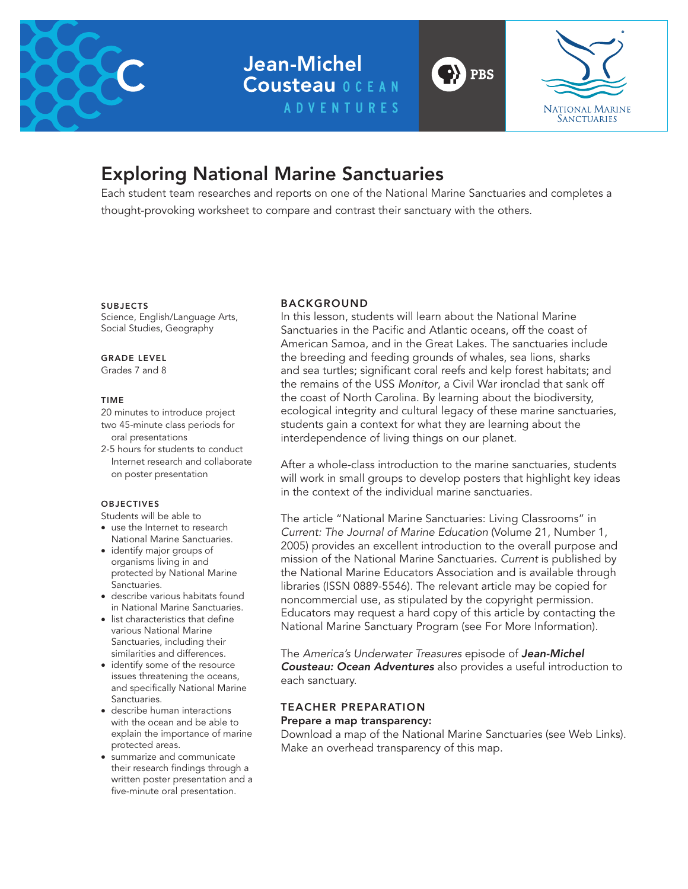

**Jean-Michel Cousteau OCEAN ADVENTURES** 



# Exploring National Marine Sanctuaries

Each student team researches and reports on one of the National Marine Sanctuaries and completes a thought-provoking worksheet to compare and contrast their sanctuary with the others.

**SUBJECTS** 

Science, English/Language Arts, Social Studies, Geography

GRADE LEVEL

Grades 7 and 8

## TIME

20 minutes to introduce project two 45-minute class periods for oral presentations

2-5 hours for students to conduct Internet research and collaborate on poster presentation

## **OBJECTIVES**

Students will be able to

- use the Internet to research National Marine Sanctuaries.
- identify major groups of organisms living in and protected by National Marine **Sanctuaries**
- describe various habitats found in National Marine Sanctuaries.
- list characteristics that define various National Marine Sanctuaries, including their similarities and differences.
- identify some of the resource issues threatening the oceans, and specifically National Marine Sanctuaries.
- describe human interactions with the ocean and be able to explain the importance of marine protected areas.
- • summarize and communicate their research findings through a written poster presentation and a five-minute oral presentation.

## BACKGROUND

In this lesson, students will learn about the National Marine Sanctuaries in the Pacific and Atlantic oceans, off the coast of American Samoa, and in the Great Lakes. The sanctuaries include the breeding and feeding grounds of whales, sea lions, sharks and sea turtles; significant coral reefs and kelp forest habitats; and the remains of the USS *Monitor*, a Civil War ironclad that sank off the coast of North Carolina. By learning about the biodiversity, ecological integrity and cultural legacy of these marine sanctuaries, students gain a context for what they are learning about the interdependence of living things on our planet.

**PBS** 

After a whole-class introduction to the marine sanctuaries, students will work in small groups to develop posters that highlight key ideas in the context of the individual marine sanctuaries.

The article "National Marine Sanctuaries: Living Classrooms" in *Current: The Journal of Marine Education* (Volume 21, Number 1, 2005) provides an excellent introduction to the overall purpose and mission of the National Marine Sanctuaries. *Current* is published by the National Marine Educators Association and is available through libraries (ISSN 0889-5546). The relevant article may be copied for noncommercial use, as stipulated by the copyright permission. Educators may request a hard copy of this article by contacting the National Marine Sanctuary Program (see For More Information).

The *America's Underwater Treasures* episode of *Jean-Michel Cousteau: Ocean Adventures* also provides a useful introduction to each sanctuary.

## TEACHER PREPARATION

## Prepare a map transparency:

Download a map of the National Marine Sanctuaries (see Web Links). Make an overhead transparency of this map.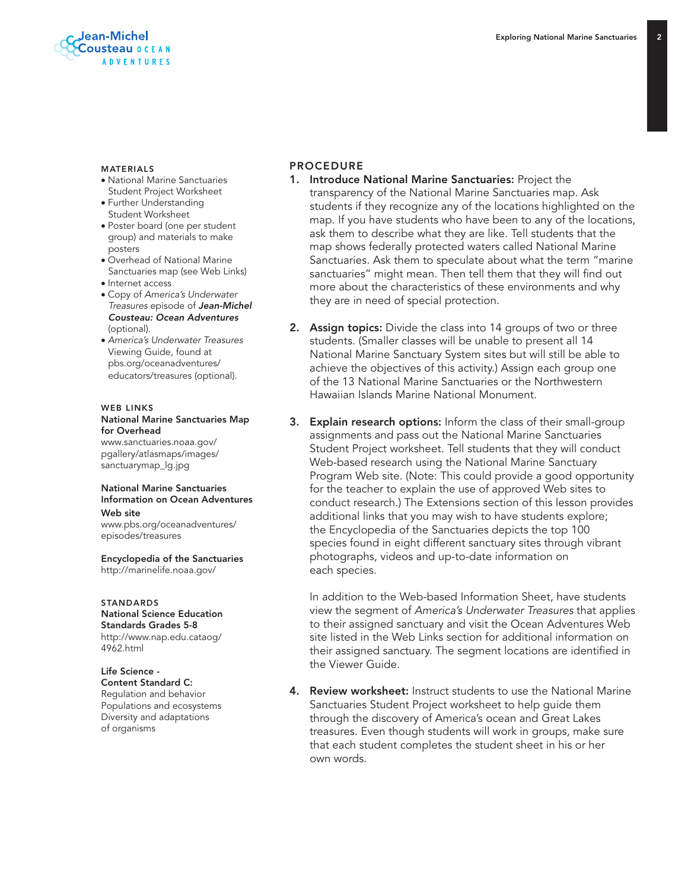

#### MATERIALS

- National Marine Sanctuaries Student Project Worksheet
- Further Understanding Student Worksheet
- Poster board (one per student group) and materials to make posters
- Overhead of National Marine Sanctuaries map (see Web Links)
- Internet access
- Copy of *America's Underwater Treasures* episode of *Jean-Michel Cousteau: Ocean Adventures* (optional).
- *America's Underwater Treasures* Viewing Guide, found at pbs.org/oceanadventures/ educators/treasures (optional).

## WER LINKS National Marine Sanctuaries Map

for Overhead www.sanctuaries.noaa.gov/ pgallery/atlasmaps/images/ sanctuarymap\_lg.jpg

#### National Marine Sanctuaries Information on Ocean Adventures Web site

www.pbs.org/oceanadventures/ episodes/treasures

Encyclopedia of the Sanctuaries http://marinelife.noaa.gov/

#### **STANDARDS**

National Science Education Standards Grades 5-8 http://www.nap.edu.cataog/ 4962.html

#### Life Science - Content Standard C: Regulation and behavior Populations and ecosystems Diversity and adaptations of organisms

## PROCEDURE

- 1. Introduce National Marine Sanctuaries: Project the transparency of the National Marine Sanctuaries map. Ask students if they recognize any of the locations highlighted on the map. If you have students who have been to any of the locations, ask them to describe what they are like. Tell students that the map shows federally protected waters called National Marine Sanctuaries. Ask them to speculate about what the term "marine sanctuaries" might mean. Then tell them that they will find out more about the characteristics of these environments and why they are in need of special protection.
- **2.** Assign topics: Divide the class into 14 groups of two or three students. (Smaller classes will be unable to present all 14 National Marine Sanctuary System sites but will still be able to achieve the objectives of this activity.) Assign each group one of the 13 National Marine Sanctuaries or the Northwestern Hawaiian Islands Marine National Monument.
- 3. Explain research options: Inform the class of their small-group assignments and pass out the National Marine Sanctuaries Student Project worksheet. Tell students that they will conduct Web-based research using the National Marine Sanctuary Program Web site. (Note: This could provide a good opportunity for the teacher to explain the use of approved Web sites to conduct research.) The Extensions section of this lesson provides additional links that you may wish to have students explore; the Encyclopedia of the Sanctuaries depicts the top 100 species found in eight different sanctuary sites through vibrant photographs, videos and up-to-date information on each species.

In addition to the Web-based Information Sheet, have students view the segment of *America's Underwater Treasures* that applies to their assigned sanctuary and visit the Ocean Adventures Web site listed in the Web Links section for additional information on their assigned sanctuary. The segment locations are identified in the Viewer Guide.

4. Review worksheet: Instruct students to use the National Marine Sanctuaries Student Project worksheet to help guide them through the discovery of America's ocean and Great Lakes treasures. Even though students will work in groups, make sure that each student completes the student sheet in his or her own words.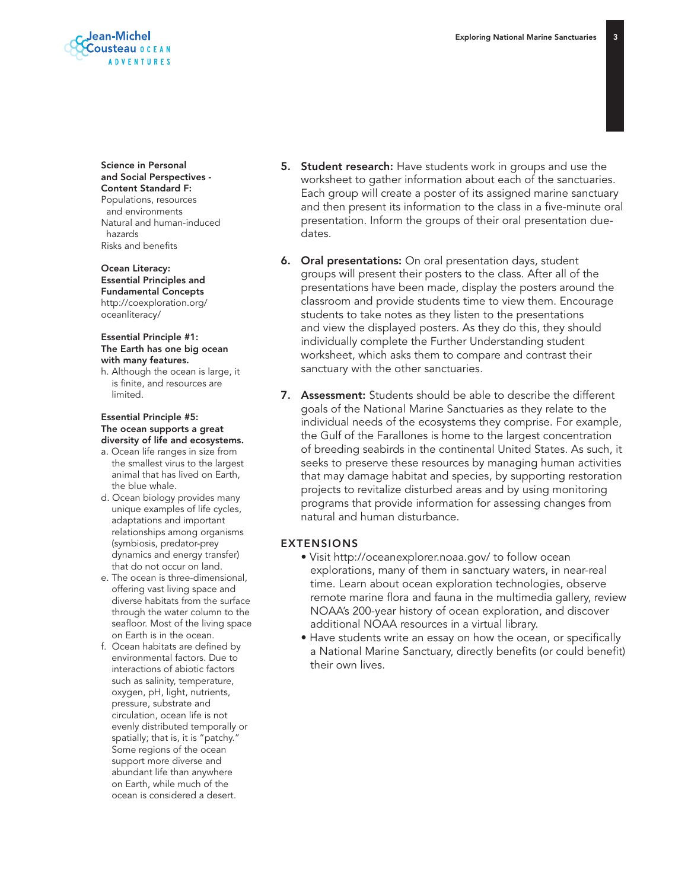$\overline{3}$ 



Science in Personal and Social Perspectives - Content Standard F: Populations, resources and environments Natural and human-induced hazards

Risks and benefits

Ocean Literacy: Essential Principles and Fundamental Concepts http://coexploration.org/ oceanliteracy/

#### Essential Principle #1: The Earth has one big ocean with many features.

h. Although the ocean is large, it is finite, and resources are limited.

#### Essential Principle #5: The ocean supports a great diversity of life and ecosystems.

- a. Ocean life ranges in size from the smallest virus to the largest animal that has lived on Earth, the blue whale.
- d. Ocean biology provides many unique examples of life cycles, adaptations and important relationships among organisms (symbiosis, predator-prey dynamics and energy transfer) that do not occur on land.
- e. The ocean is three-dimensional, offering vast living space and diverse habitats from the surface through the water column to the seafloor. Most of the living space on Earth is in the ocean.
- f. Ocean habitats are defined by environmental factors. Due to interactions of abiotic factors such as salinity, temperature, oxygen, pH, light, nutrients, pressure, substrate and circulation, ocean life is not evenly distributed temporally or spatially; that is, it is "patchy." Some regions of the ocean support more diverse and abundant life than anywhere on Earth, while much of the ocean is considered a desert.
- 5. Student research: Have students work in groups and use the worksheet to gather information about each of the sanctuaries. Each group will create a poster of its assigned marine sanctuary and then present its information to the class in a five-minute oral presentation. Inform the groups of their oral presentation duedates.
- 6. Oral presentations: On oral presentation days, student groups will present their posters to the class. After all of the presentations have been made, display the posters around the classroom and provide students time to view them. Encourage students to take notes as they listen to the presentations and view the displayed posters. As they do this, they should individually complete the Further Understanding student worksheet, which asks them to compare and contrast their sanctuary with the other sanctuaries.
- 7. Assessment: Students should be able to describe the different goals of the National Marine Sanctuaries as they relate to the individual needs of the ecosystems they comprise. For example, the Gulf of the Farallones is home to the largest concentration of breeding seabirds in the continental United States. As such, it seeks to preserve these resources by managing human activities that may damage habitat and species, by supporting restoration projects to revitalize disturbed areas and by using monitoring programs that provide information for assessing changes from natural and human disturbance.

## EXTENSIONS

- Visit http://oceanexplorer.noaa.gov/ to follow ocean explorations, many of them in sanctuary waters, in near-real time. Learn about ocean exploration technologies, observe remote marine flora and fauna in the multimedia gallery, review NOAA's 200-year history of ocean exploration, and discover additional NOAA resources in a virtual library.
- Have students write an essay on how the ocean, or specifically a National Marine Sanctuary, directly benefits (or could benefit) their own lives.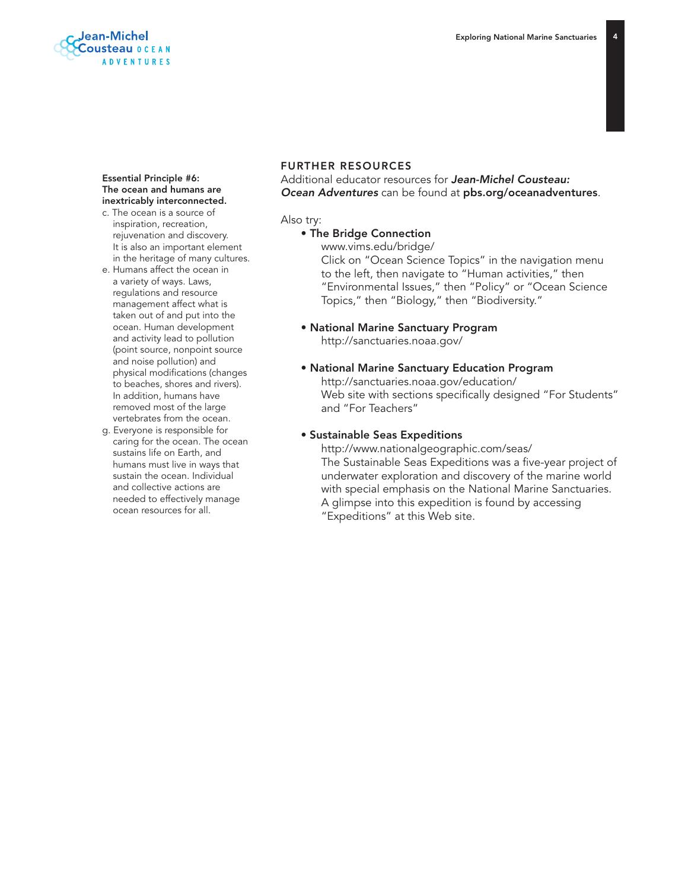

#### Essential Principle #6: The ocean and humans are inextricably interconnected.

- c. The ocean is a source of inspiration, recreation, rejuvenation and discovery. It is also an important element in the heritage of many cultures.
- e. Humans affect the ocean in a variety of ways. Laws, regulations and resource management affect what is taken out of and put into the ocean. Human development and activity lead to pollution (point source, nonpoint source and noise pollution) and physical modifications (changes to beaches, shores and rivers). In addition, humans have removed most of the large vertebrates from the ocean.
- g. Everyone is responsible for caring for the ocean. The ocean sustains life on Earth, and humans must live in ways that sustain the ocean. Individual and collective actions are needed to effectively manage ocean resources for all.

### FURTHER RESOURCES

## Additional educator resources for *Jean-Michel Cousteau: Ocean Adventures* can be found at pbs.org/oceanadventures.

#### Also try:

## • The Bridge Connection

www.vims.edu/bridge/

Click on "Ocean Science Topics" in the navigation menu to the left, then navigate to "Human activities," then "Environmental Issues," then "Policy" or "Ocean Science Topics," then "Biology," then "Biodiversity."

- National Marine Sanctuary Program http://sanctuaries.noaa.gov/
- National Marine Sanctuary Education Program http://sanctuaries.noaa.gov/education/ Web site with sections specifically designed "For Students" and "For Teachers"

#### • Sustainable Seas Expeditions

http://www.nationalgeographic.com/seas/ The Sustainable Seas Expeditions was a five-year project of underwater exploration and discovery of the marine world with special emphasis on the National Marine Sanctuaries. A glimpse into this expedition is found by accessing "Expeditions" at this Web site.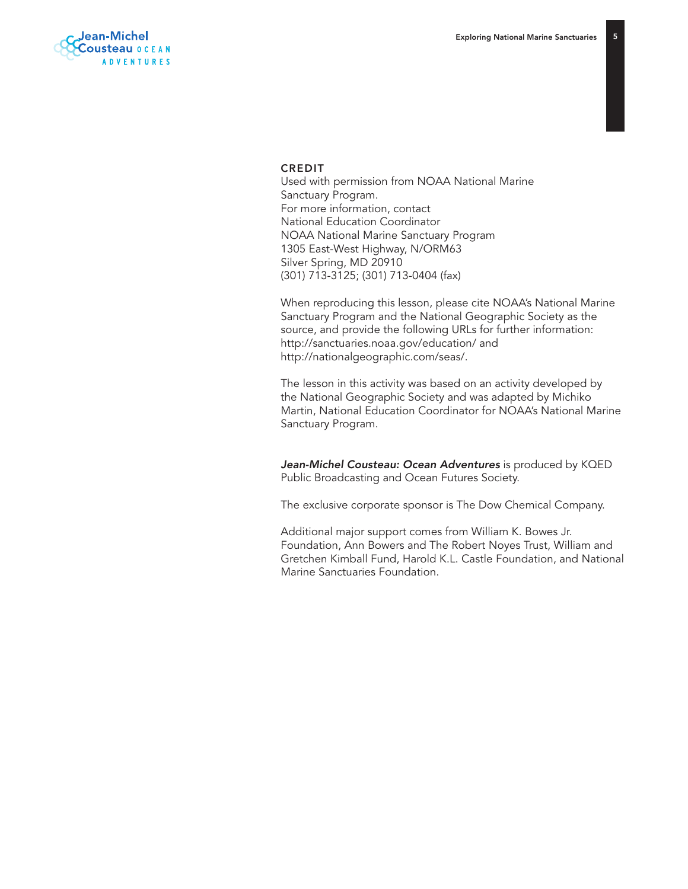$\overline{5}$ 



### CREDIT

Used with permission from NOAA National Marine Sanctuary Program. For more information, contact National Education Coordinator NOAA National Marine Sanctuary Program 1305 East-West Highway, N/ORM63 Silver Spring, MD 20910 (301) 713-3125; (301) 713-0404 (fax)

When reproducing this lesson, please cite NOAA's National Marine Sanctuary Program and the National Geographic Society as the source, and provide the following URLs for further information: http://sanctuaries.noaa.gov/education/ and http://nationalgeographic.com/seas/.

The lesson in this activity was based on an activity developed by the National Geographic Society and was adapted by Michiko Martin, National Education Coordinator for NOAA's National Marine Sanctuary Program.

*Jean-Michel Cousteau: Ocean Adventures* is produced by KQED Public Broadcasting and Ocean Futures Society.

The exclusive corporate sponsor is The Dow Chemical Company.

Additional major support comes from William K. Bowes Jr. Foundation, Ann Bowers and The Robert Noyes Trust, William and Gretchen Kimball Fund, Harold K.L. Castle Foundation, and National Marine Sanctuaries Foundation.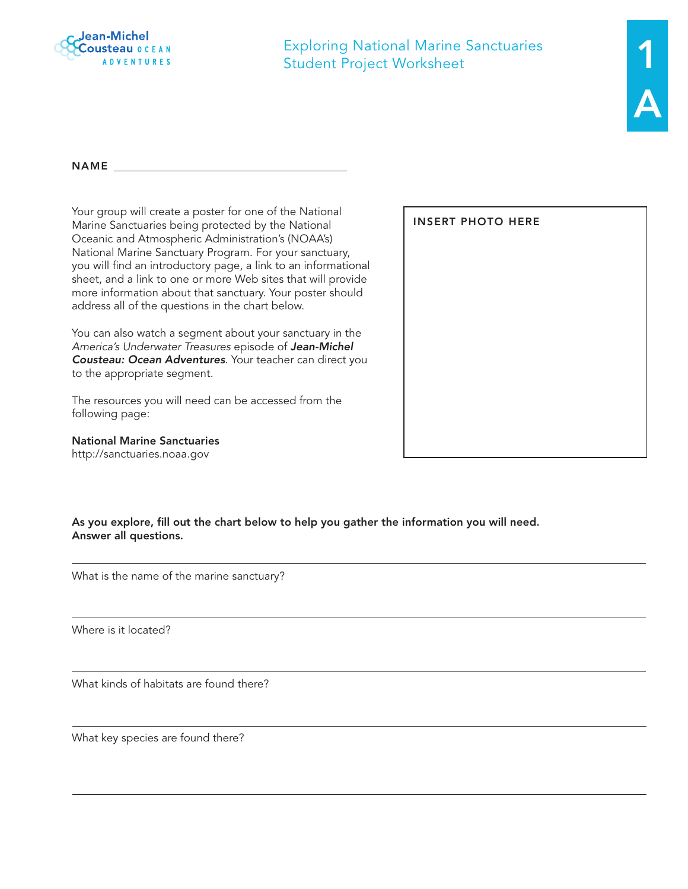

Exploring National Marine Sanctuaries Student Project Worksheet

Name

Your group will create a poster for one of the National Marine Sanctuaries being protected by the National Oceanic and Atmospheric Administration's (NOAA's) National Marine Sanctuary Program. For your sanctuary, you will find an introductory page, a link to an informational sheet, and a link to one or more Web sites that will provide more information about that sanctuary. Your poster should address all of the questions in the chart below.

You can also watch a segment about your sanctuary in the *America's Underwater Treasures* episode of *Jean-Michel Cousteau: Ocean Adventures*. Your teacher can direct you to the appropriate segment.

The resources you will need can be accessed from the following page:

National Marine Sanctuaries http://sanctuaries.noaa.gov

insert photo here

As you explore, fill out the chart below to help you gather the information you will need. Answer all questions.

What is the name of the marine sanctuary?

Where is it located?

What kinds of habitats are found there?

What key species are found there?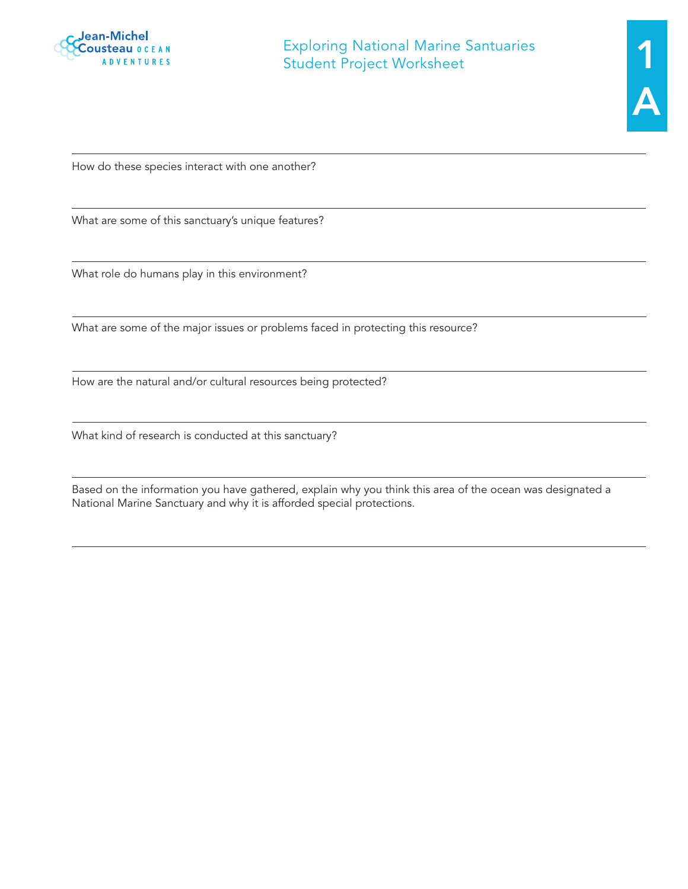

How do these species interact with one another?

What are some of this sanctuary's unique features?

What role do humans play in this environment?

What are some of the major issues or problems faced in protecting this resource?

How are the natural and/or cultural resources being protected?

What kind of research is conducted at this sanctuary?

Based on the information you have gathered, explain why you think this area of the ocean was designated a National Marine Sanctuary and why it is afforded special protections.